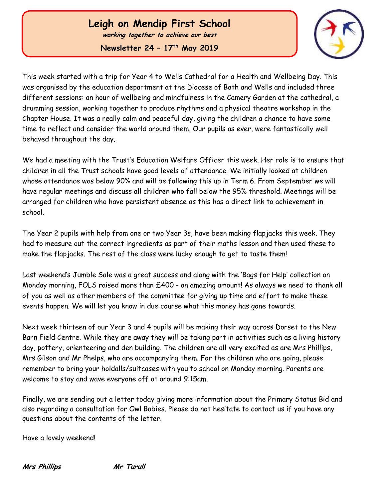# **Leigh on Mendip First School**

**working together to achieve our best**

**Newsletter 24 – 17 th May 2019**



This week started with a trip for Year 4 to Wells Cathedral for a Health and Wellbeing Day. This was organised by the education department at the Diocese of Bath and Wells and included three different sessions: an hour of wellbeing and mindfulness in the Camery Garden at the cathedral, a drumming session, working together to produce rhythms and a physical theatre workshop in the Chapter House. It was a really calm and peaceful day, giving the children a chance to have some time to reflect and consider the world around them. Our pupils as ever, were fantastically well behaved throughout the day.

We had a meeting with the Trust's Education Welfare Officer this week. Her role is to ensure that children in all the Trust schools have good levels of attendance. We initially looked at children whose attendance was below 90% and will be following this up in Term 6. From September we will have regular meetings and discuss all children who fall below the 95% threshold. Meetings will be arranged for children who have persistent absence as this has a direct link to achievement in school.

The Year 2 pupils with help from one or two Year 3s, have been making flapjacks this week. They had to measure out the correct ingredients as part of their maths lesson and then used these to make the flapjacks. The rest of the class were lucky enough to get to taste them!

Last weekend's Jumble Sale was a great success and along with the 'Bags for Help' collection on Monday morning, FOLS raised more than £400 - an amazing amount! As always we need to thank all of you as well as other members of the committee for giving up time and effort to make these events happen. We will let you know in due course what this money has gone towards.

Next week thirteen of our Year 3 and 4 pupils will be making their way across Dorset to the New Barn Field Centre. While they are away they will be taking part in activities such as a living history day, pottery, orienteering and den building. The children are all very excited as are Mrs Phillips, Mrs Gilson and Mr Phelps, who are accompanying them. For the children who are going, please remember to bring your holdalls/suitcases with you to school on Monday morning. Parents are welcome to stay and wave everyone off at around 9:15am.

Finally, we are sending out a letter today giving more information about the Primary Status Bid and also regarding a consultation for Owl Babies. Please do not hesitate to contact us if you have any questions about the contents of the letter.

Have a lovely weekend!

**Mrs Phillips Mr Turull**